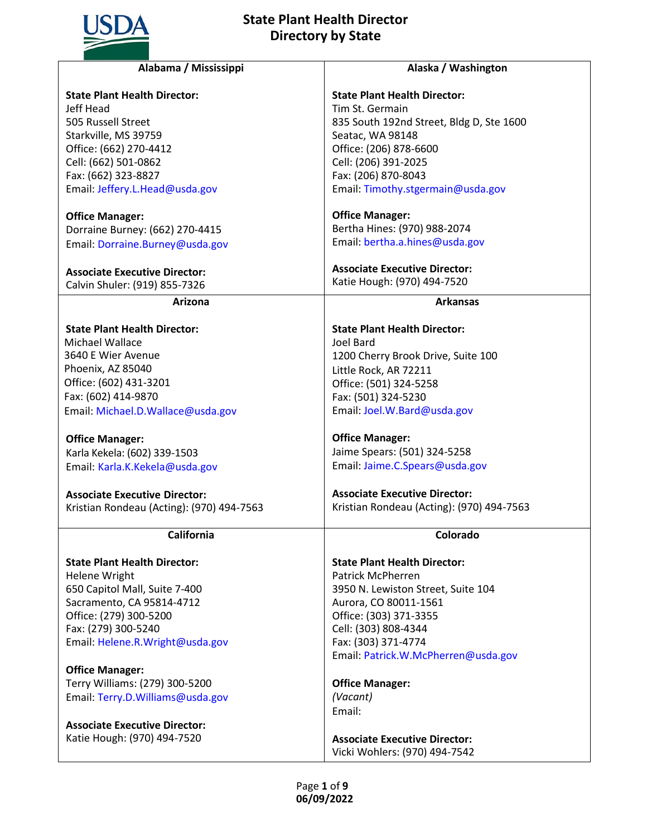

| <b>State Plant Health Director:</b><br><b>State Plant Health Director:</b><br>Jeff Head<br>Tim St. Germain<br>505 Russell Street<br>835 South 192nd Street, Bldg D, Ste 1600<br>Starkville, MS 39759<br>Seatac, WA 98148<br>Office: (662) 270-4412<br>Office: (206) 878-6600 |  |
|------------------------------------------------------------------------------------------------------------------------------------------------------------------------------------------------------------------------------------------------------------------------------|--|
|                                                                                                                                                                                                                                                                              |  |
|                                                                                                                                                                                                                                                                              |  |
|                                                                                                                                                                                                                                                                              |  |
|                                                                                                                                                                                                                                                                              |  |
|                                                                                                                                                                                                                                                                              |  |
| Cell: (662) 501-0862<br>Cell: (206) 391-2025                                                                                                                                                                                                                                 |  |
| Fax: (662) 323-8827<br>Fax: (206) 870-8043                                                                                                                                                                                                                                   |  |
| Email: Timothy.stgermain@usda.gov<br>Email: Jeffery.L.Head@usda.gov                                                                                                                                                                                                          |  |
| <b>Office Manager:</b><br><b>Office Manager:</b>                                                                                                                                                                                                                             |  |
| Bertha Hines: (970) 988-2074<br>Dorraine Burney: (662) 270-4415                                                                                                                                                                                                              |  |
| Email: bertha.a.hines@usda.gov<br>Email: Dorraine.Burney@usda.gov                                                                                                                                                                                                            |  |
| <b>Associate Executive Director:</b><br><b>Associate Executive Director:</b>                                                                                                                                                                                                 |  |
| Katie Hough: (970) 494-7520<br>Calvin Shuler: (919) 855-7326                                                                                                                                                                                                                 |  |
| <b>Arkansas</b><br>Arizona                                                                                                                                                                                                                                                   |  |
| <b>State Plant Health Director:</b><br><b>State Plant Health Director:</b>                                                                                                                                                                                                   |  |
| <b>Michael Wallace</b><br>Joel Bard                                                                                                                                                                                                                                          |  |
| 3640 E Wier Avenue<br>1200 Cherry Brook Drive, Suite 100                                                                                                                                                                                                                     |  |
| Phoenix, AZ 85040<br>Little Rock, AR 72211                                                                                                                                                                                                                                   |  |
| Office: (602) 431-3201<br>Office: (501) 324-5258                                                                                                                                                                                                                             |  |
| Fax: (602) 414-9870<br>Fax: (501) 324-5230                                                                                                                                                                                                                                   |  |
| Email: Joel.W.Bard@usda.gov<br>Email: Michael.D.Wallace@usda.gov                                                                                                                                                                                                             |  |
| <b>Office Manager:</b><br><b>Office Manager:</b>                                                                                                                                                                                                                             |  |
| Jaime Spears: (501) 324-5258<br>Karla Kekela: (602) 339-1503                                                                                                                                                                                                                 |  |
| Email: Jaime.C.Spears@usda.gov<br>Email: Karla.K.Kekela@usda.gov                                                                                                                                                                                                             |  |
| <b>Associate Executive Director:</b><br><b>Associate Executive Director:</b>                                                                                                                                                                                                 |  |
| Kristian Rondeau (Acting): (970) 494-7563<br>Kristian Rondeau (Acting): (970) 494-7563                                                                                                                                                                                       |  |
| California<br>Colorado                                                                                                                                                                                                                                                       |  |
| <b>State Plant Health Director:</b><br><b>State Plant Health Director:</b>                                                                                                                                                                                                   |  |
| <b>Patrick McPherren</b><br><b>Helene Wright</b>                                                                                                                                                                                                                             |  |
| 650 Capitol Mall, Suite 7-400<br>3950 N. Lewiston Street, Suite 104                                                                                                                                                                                                          |  |
| Sacramento, CA 95814-4712<br>Aurora, CO 80011-1561                                                                                                                                                                                                                           |  |
| Office: (279) 300-5200<br>Office: (303) 371-3355                                                                                                                                                                                                                             |  |
| Fax: (279) 300-5240<br>Cell: (303) 808-4344                                                                                                                                                                                                                                  |  |
| Fax: (303) 371-4774<br>Email: Helene.R. Wright@usda.gov                                                                                                                                                                                                                      |  |
| Email: Patrick.W.McPherren@usda.gov                                                                                                                                                                                                                                          |  |
| <b>Office Manager:</b>                                                                                                                                                                                                                                                       |  |
| Terry Williams: (279) 300-5200<br><b>Office Manager:</b>                                                                                                                                                                                                                     |  |
| (Vacant)<br>Email: Terry.D.Williams@usda.gov<br>Email:                                                                                                                                                                                                                       |  |
| <b>Associate Executive Director:</b>                                                                                                                                                                                                                                         |  |
| Katie Hough: (970) 494-7520<br><b>Associate Executive Director:</b>                                                                                                                                                                                                          |  |
| Vicki Wohlers: (970) 494-7542                                                                                                                                                                                                                                                |  |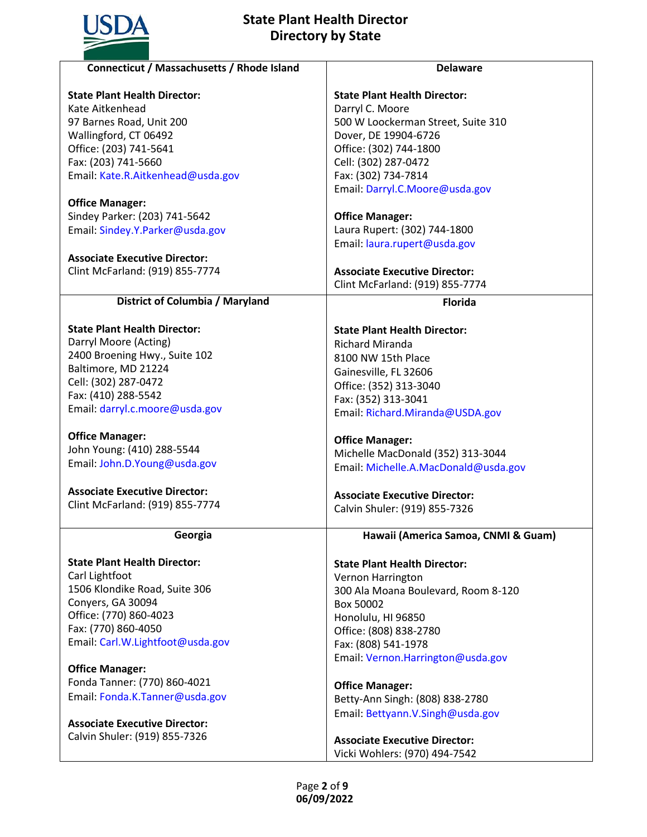

| Connecticut / Massachusetts / Rhode Island | <b>Delaware</b>                      |
|--------------------------------------------|--------------------------------------|
| <b>State Plant Health Director:</b>        | <b>State Plant Health Director:</b>  |
| Kate Aitkenhead                            | Darryl C. Moore                      |
| 97 Barnes Road, Unit 200                   | 500 W Loockerman Street, Suite 310   |
| Wallingford, CT 06492                      | Dover, DE 19904-6726                 |
| Office: (203) 741-5641                     | Office: (302) 744-1800               |
| Fax: (203) 741-5660                        | Cell: (302) 287-0472                 |
| Email: Kate.R.Aitkenhead@usda.gov          | Fax: (302) 734-7814                  |
|                                            | Email: Darryl.C.Moore@usda.gov       |
| <b>Office Manager:</b>                     |                                      |
| Sindey Parker: (203) 741-5642              | <b>Office Manager:</b>               |
| Email: Sindey.Y.Parker@usda.gov            | Laura Rupert: (302) 744-1800         |
|                                            |                                      |
|                                            | Email: laura.rupert@usda.gov         |
| <b>Associate Executive Director:</b>       |                                      |
| Clint McFarland: (919) 855-7774            | <b>Associate Executive Director:</b> |
|                                            | Clint McFarland: (919) 855-7774      |
| District of Columbia / Maryland            | <b>Florida</b>                       |
|                                            |                                      |
| <b>State Plant Health Director:</b>        | <b>State Plant Health Director:</b>  |
| Darryl Moore (Acting)                      | <b>Richard Miranda</b>               |
| 2400 Broening Hwy., Suite 102              | 8100 NW 15th Place                   |
| Baltimore, MD 21224                        | Gainesville, FL 32606                |
| Cell: (302) 287-0472                       | Office: (352) 313-3040               |
| Fax: (410) 288-5542                        | Fax: (352) 313-3041                  |
| Email: darryl.c.moore@usda.gov             | Email: Richard.Miranda@USDA.gov      |
|                                            |                                      |
| <b>Office Manager:</b>                     | <b>Office Manager:</b>               |
| John Young: (410) 288-5544                 | Michelle MacDonald (352) 313-3044    |
| Email: John.D.Young@usda.gov               | Email: Michelle.A.MacDonald@usda.gov |
|                                            |                                      |
| <b>Associate Executive Director:</b>       | <b>Associate Executive Director:</b> |
| Clint McFarland: (919) 855-7774            | Calvin Shuler: (919) 855-7326        |
|                                            |                                      |
| Georgia                                    | Hawaii (America Samoa, CNMI & Guam)  |
| <b>State Plant Health Director:</b>        | <b>State Plant Health Director:</b>  |
| Carl Lightfoot                             | Vernon Harrington                    |
| 1506 Klondike Road, Suite 306              |                                      |
| Conyers, GA 30094                          | 300 Ala Moana Boulevard, Room 8-120  |
| Office: (770) 860-4023                     | Box 50002                            |
| Fax: (770) 860-4050                        | Honolulu, HI 96850                   |
| Email: Carl.W.Lightfoot@usda.gov           | Office: (808) 838-2780               |
|                                            | Fax: (808) 541-1978                  |
|                                            | Email: Vernon.Harrington@usda.gov    |
| <b>Office Manager:</b>                     |                                      |
| Fonda Tanner: (770) 860-4021               | <b>Office Manager:</b>               |
| Email: Fonda.K.Tanner@usda.gov             | Betty-Ann Singh: (808) 838-2780      |
|                                            | Email: Bettyann.V.Singh@usda.gov     |
| <b>Associate Executive Director:</b>       |                                      |
| Calvin Shuler: (919) 855-7326              | <b>Associate Executive Director:</b> |
|                                            | Vicki Wohlers: (970) 494-7542        |
|                                            |                                      |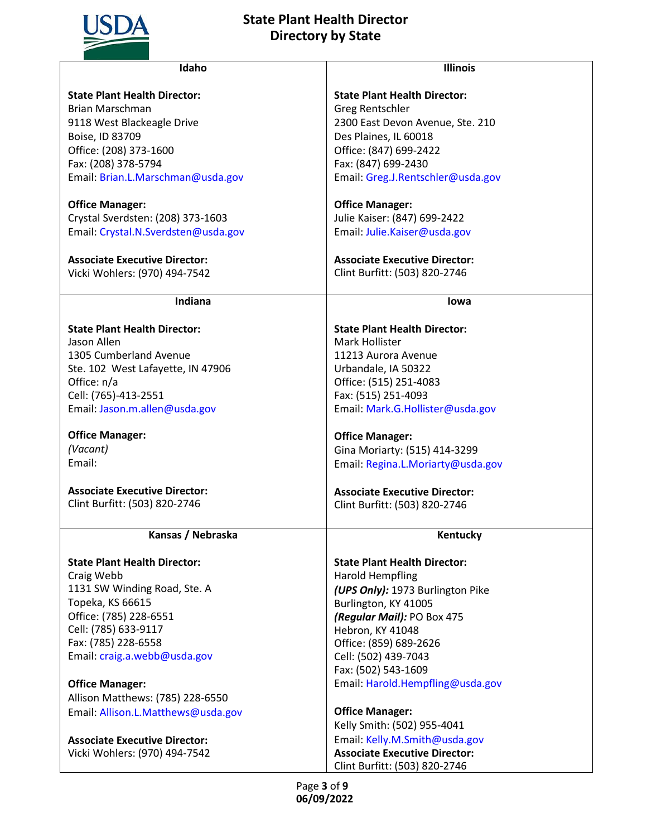

| Idaho                                | <b>Illinois</b>                      |
|--------------------------------------|--------------------------------------|
| <b>State Plant Health Director:</b>  | <b>State Plant Health Director:</b>  |
| <b>Brian Marschman</b>               | <b>Greg Rentschler</b>               |
| 9118 West Blackeagle Drive           | 2300 East Devon Avenue, Ste. 210     |
| Boise, ID 83709                      | Des Plaines, IL 60018                |
| Office: (208) 373-1600               | Office: (847) 699-2422               |
| Fax: (208) 378-5794                  | Fax: (847) 699-2430                  |
| Email: Brian.L.Marschman@usda.gov    | Email: Greg.J.Rentschler@usda.gov    |
|                                      |                                      |
| <b>Office Manager:</b>               | <b>Office Manager:</b>               |
| Crystal Sverdsten: (208) 373-1603    | Julie Kaiser: (847) 699-2422         |
| Email: Crystal.N.Sverdsten@usda.gov  | Email: Julie.Kaiser@usda.gov         |
|                                      |                                      |
| <b>Associate Executive Director:</b> | <b>Associate Executive Director:</b> |
| Vicki Wohlers: (970) 494-7542        | Clint Burfitt: (503) 820-2746        |
|                                      |                                      |
| <b>Indiana</b>                       | lowa                                 |
| <b>State Plant Health Director:</b>  | <b>State Plant Health Director:</b>  |
| Jason Allen                          | Mark Hollister                       |
| 1305 Cumberland Avenue               | 11213 Aurora Avenue                  |
| Ste. 102 West Lafayette, IN 47906    | Urbandale, IA 50322                  |
| Office: n/a                          | Office: (515) 251-4083               |
| Cell: (765)-413-2551                 | Fax: (515) 251-4093                  |
| Email: Jason.m.allen@usda.gov        | Email: Mark.G.Hollister@usda.gov     |
|                                      |                                      |
| <b>Office Manager:</b>               | <b>Office Manager:</b>               |
| (Vacant)                             | Gina Moriarty: (515) 414-3299        |
| Email:                               | Email: Regina.L.Moriarty@usda.gov    |
| <b>Associate Executive Director:</b> | <b>Associate Executive Director:</b> |
| Clint Burfitt: (503) 820-2746        | Clint Burfitt: (503) 820-2746        |
|                                      |                                      |
| Kansas / Nebraska                    | Kentucky                             |
| <b>State Plant Health Director:</b>  | <b>State Plant Health Director:</b>  |
| Craig Webb                           | <b>Harold Hempfling</b>              |
| 1131 SW Winding Road, Ste. A         | (UPS Only): 1973 Burlington Pike     |
| Topeka, KS 66615                     | Burlington, KY 41005                 |
| Office: (785) 228-6551               | (Regular Mail): PO Box 475           |
| Cell: (785) 633-9117                 | Hebron, KY 41048                     |
| Fax: (785) 228-6558                  | Office: (859) 689-2626               |
| Email: craig.a.webb@usda.gov         | Cell: (502) 439-7043                 |
|                                      | Fax: (502) 543-1609                  |
| <b>Office Manager:</b>               | Email: Harold.Hempfling@usda.gov     |
| Allison Matthews: (785) 228-6550     |                                      |
| Email: Allison.L.Matthews@usda.gov   | <b>Office Manager:</b>               |
|                                      | Kelly Smith: (502) 955-4041          |
| <b>Associate Executive Director:</b> | Email: Kelly.M.Smith@usda.gov        |
| Vicki Wohlers: (970) 494-7542        | <b>Associate Executive Director:</b> |
|                                      | Clint Burfitt: (503) 820-2746        |
|                                      |                                      |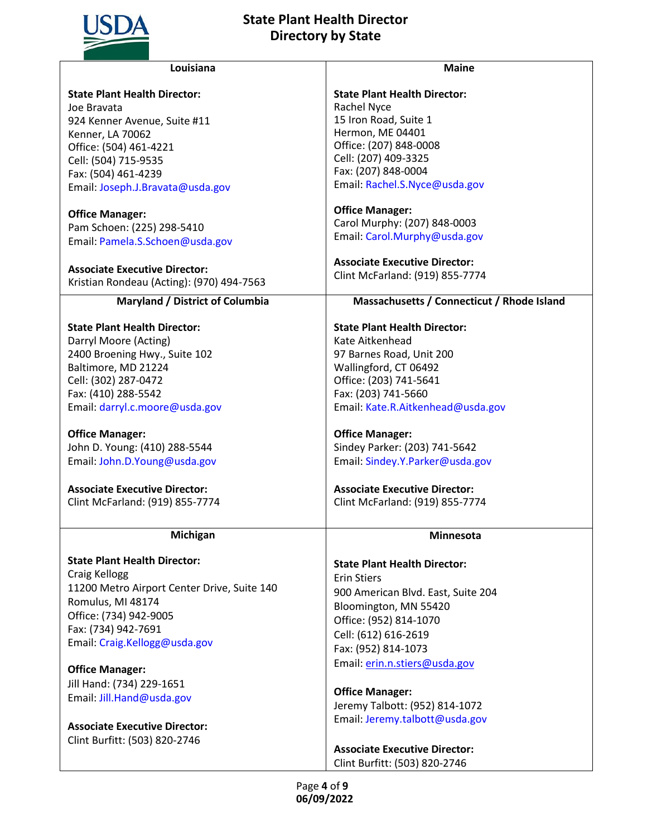

|                                      | Louisiana                                   | <b>Maine</b>                               |
|--------------------------------------|---------------------------------------------|--------------------------------------------|
| <b>State Plant Health Director:</b>  |                                             | <b>State Plant Health Director:</b>        |
| Joe Bravata                          |                                             | Rachel Nyce                                |
| 924 Kenner Avenue, Suite #11         |                                             | 15 Iron Road, Suite 1                      |
| Kenner, LA 70062                     |                                             | Hermon, ME 04401                           |
| Office: (504) 461-4221               |                                             | Office: (207) 848-0008                     |
| Cell: (504) 715-9535                 |                                             | Cell: (207) 409-3325                       |
| Fax: (504) 461-4239                  |                                             | Fax: (207) 848-0004                        |
|                                      | Email: Joseph.J.Bravata@usda.gov            | Email: Rachel.S.Nyce@usda.gov              |
| <b>Office Manager:</b>               |                                             | <b>Office Manager:</b>                     |
| Pam Schoen: (225) 298-5410           |                                             | Carol Murphy: (207) 848-0003               |
|                                      | Email: Pamela.S.Schoen@usda.gov             | Email: Carol.Murphy@usda.gov               |
|                                      |                                             |                                            |
| <b>Associate Executive Director:</b> |                                             | <b>Associate Executive Director:</b>       |
|                                      | Kristian Rondeau (Acting): (970) 494-7563   | Clint McFarland: (919) 855-7774            |
|                                      | Maryland / District of Columbia             | Massachusetts / Connecticut / Rhode Island |
| <b>State Plant Health Director:</b>  |                                             | <b>State Plant Health Director:</b>        |
| Darryl Moore (Acting)                |                                             | Kate Aitkenhead                            |
| 2400 Broening Hwy., Suite 102        |                                             | 97 Barnes Road, Unit 200                   |
| Baltimore, MD 21224                  |                                             | Wallingford, CT 06492                      |
| Cell: (302) 287-0472                 |                                             | Office: (203) 741-5641                     |
| Fax: (410) 288-5542                  |                                             | Fax: (203) 741-5660                        |
|                                      | Email: darryl.c.moore@usda.gov              | Email: Kate.R.Aitkenhead@usda.gov          |
|                                      |                                             |                                            |
| <b>Office Manager:</b>               |                                             | <b>Office Manager:</b>                     |
| John D. Young: (410) 288-5544        |                                             | Sindey Parker: (203) 741-5642              |
|                                      | Email: John.D.Young@usda.gov                | Email: Sindey.Y.Parker@usda.gov            |
| <b>Associate Executive Director:</b> |                                             | <b>Associate Executive Director:</b>       |
|                                      | Clint McFarland: (919) 855-7774             | Clint McFarland: (919) 855-7774            |
|                                      |                                             |                                            |
|                                      | Michigan                                    | Minnesota                                  |
| <b>State Plant Health Director:</b>  |                                             | <b>State Plant Health Director:</b>        |
| Craig Kellogg                        |                                             | <b>Erin Stiers</b>                         |
|                                      | 11200 Metro Airport Center Drive, Suite 140 | 900 American Blvd. East, Suite 204         |
| Romulus, MI 48174                    |                                             | Bloomington, MN 55420                      |
| Office: (734) 942-9005               |                                             | Office: (952) 814-1070                     |
| Fax: (734) 942-7691                  |                                             | Cell: (612) 616-2619                       |
| Email: Craig.Kellogg@usda.gov        |                                             | Fax: (952) 814-1073                        |
|                                      |                                             | Email: erin.n.stiers@usda.gov              |
| <b>Office Manager:</b>               |                                             |                                            |
| Jill Hand: (734) 229-1651            |                                             | <b>Office Manager:</b>                     |
| Email: Jill.Hand@usda.gov            |                                             | Jeremy Talbott: (952) 814-1072             |
|                                      |                                             | Email: Jeremy.talbott@usda.gov             |
| <b>Associate Executive Director:</b> |                                             |                                            |
| Clint Burfitt: (503) 820-2746        |                                             | <b>Associate Executive Director:</b>       |
|                                      |                                             |                                            |

Clint Burfitt: (503) 820-2746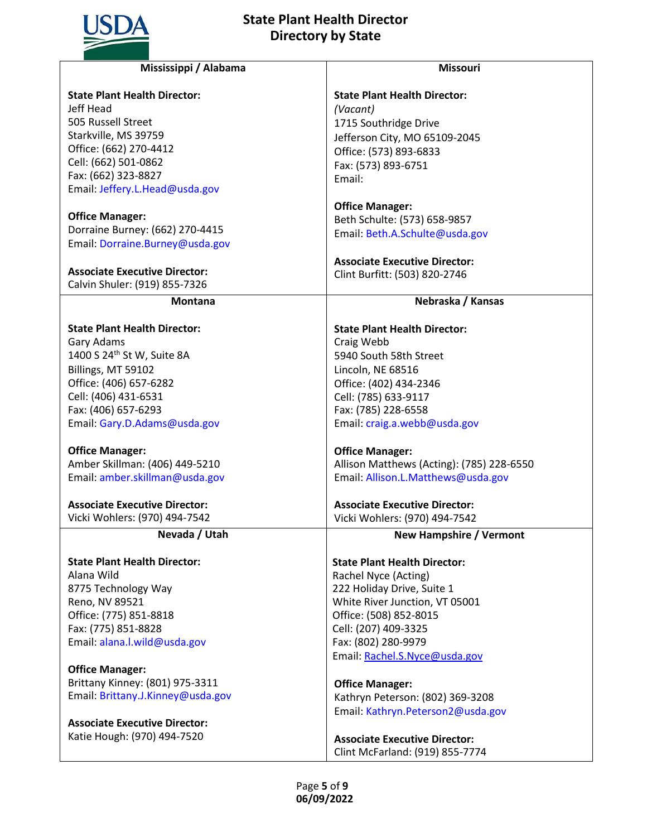

| Mississippi / Alabama                  | <b>Missouri</b>                           |
|----------------------------------------|-------------------------------------------|
| <b>State Plant Health Director:</b>    | <b>State Plant Health Director:</b>       |
| Jeff Head                              | (Vacant)                                  |
| 505 Russell Street                     | 1715 Southridge Drive                     |
| Starkville, MS 39759                   | Jefferson City, MO 65109-2045             |
| Office: (662) 270-4412                 |                                           |
| Cell: (662) 501-0862                   | Office: (573) 893-6833                    |
| Fax: (662) 323-8827                    | Fax: (573) 893-6751                       |
| Email: Jeffery.L.Head@usda.gov         | Email:                                    |
|                                        |                                           |
| <b>Office Manager:</b>                 | <b>Office Manager:</b>                    |
| Dorraine Burney: (662) 270-4415        | Beth Schulte: (573) 658-9857              |
| Email: Dorraine.Burney@usda.gov        | Email: Beth.A.Schulte@usda.gov            |
|                                        |                                           |
|                                        | <b>Associate Executive Director:</b>      |
| <b>Associate Executive Director:</b>   | Clint Burfitt: (503) 820-2746             |
| Calvin Shuler: (919) 855-7326          |                                           |
| <b>Montana</b>                         | Nebraska / Kansas                         |
| <b>State Plant Health Director:</b>    | <b>State Plant Health Director:</b>       |
| Gary Adams                             | Craig Webb                                |
| 1400 S 24 <sup>th</sup> St W, Suite 8A | 5940 South 58th Street                    |
| Billings, MT 59102                     | Lincoln, NE 68516                         |
| Office: (406) 657-6282                 | Office: (402) 434-2346                    |
| Cell: (406) 431-6531                   | Cell: (785) 633-9117                      |
| Fax: (406) 657-6293                    | Fax: (785) 228-6558                       |
| Email: Gary.D.Adams@usda.gov           | Email: craig.a.webb@usda.gov              |
|                                        |                                           |
| <b>Office Manager:</b>                 | <b>Office Manager:</b>                    |
| Amber Skillman: (406) 449-5210         | Allison Matthews (Acting): (785) 228-6550 |
| Email: amber.skillman@usda.gov         | Email: Allison.L.Matthews@usda.gov        |
|                                        |                                           |
| <b>Associate Executive Director:</b>   | <b>Associate Executive Director:</b>      |
| Vicki Wohlers: (970) 494-7542          | Vicki Wohlers: (970) 494-7542             |
| Nevada / Utah                          | <b>New Hampshire / Vermont</b>            |
| <b>State Plant Health Director:</b>    | <b>State Plant Health Director:</b>       |
| Alana Wild                             | Rachel Nyce (Acting)                      |
| 8775 Technology Way                    | 222 Holiday Drive, Suite 1                |
| Reno, NV 89521                         | White River Junction, VT 05001            |
| Office: (775) 851-8818                 | Office: (508) 852-8015                    |
| Fax: (775) 851-8828                    | Cell: (207) 409-3325                      |
| Email: alana.l.wild@usda.gov           | Fax: (802) 280-9979                       |
|                                        | Email: Rachel.S.Nyce@usda.gov             |
|                                        |                                           |
| <b>Office Manager:</b>                 |                                           |
| Brittany Kinney: (801) 975-3311        | <b>Office Manager:</b>                    |
| Email: Brittany.J.Kinney@usda.gov      | Kathryn Peterson: (802) 369-3208          |
|                                        | Email: Kathryn.Peterson2@usda.gov         |
| <b>Associate Executive Director:</b>   |                                           |
| Katie Hough: (970) 494-7520            | <b>Associate Executive Director:</b>      |
|                                        | Clint McFarland: (919) 855-7774           |
|                                        |                                           |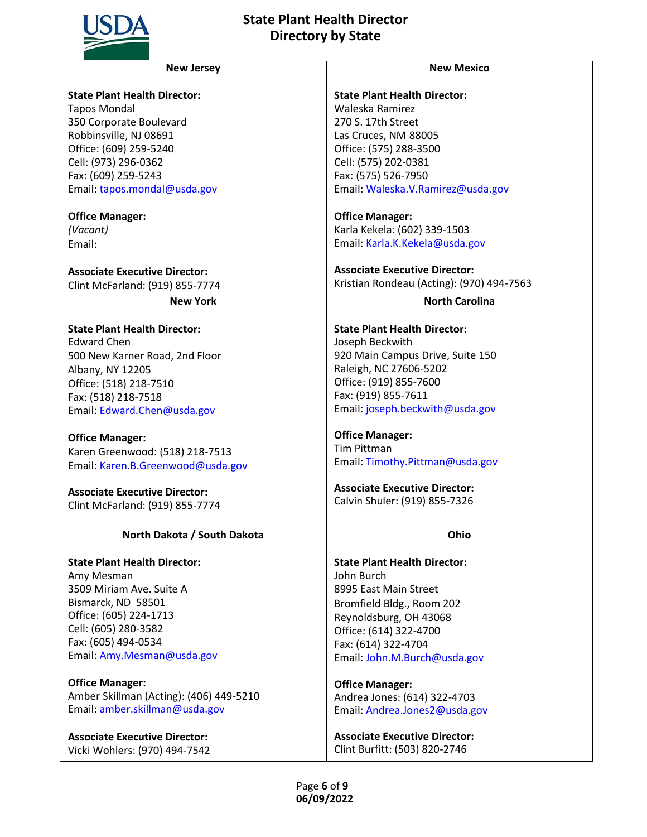

| <b>New Jersey</b>                       | <b>New Mexico</b>                         |
|-----------------------------------------|-------------------------------------------|
|                                         |                                           |
| <b>State Plant Health Director:</b>     | <b>State Plant Health Director:</b>       |
| <b>Tapos Mondal</b>                     | Waleska Ramirez                           |
| 350 Corporate Boulevard                 | 270 S. 17th Street                        |
| Robbinsville, NJ 08691                  | Las Cruces, NM 88005                      |
| Office: (609) 259-5240                  | Office: (575) 288-3500                    |
| Cell: (973) 296-0362                    | Cell: (575) 202-0381                      |
| Fax: (609) 259-5243                     | Fax: (575) 526-7950                       |
| Email: tapos.mondal@usda.gov            | Email: Waleska.V.Ramirez@usda.gov         |
| <b>Office Manager:</b>                  | <b>Office Manager:</b>                    |
| (Vacant)                                | Karla Kekela: (602) 339-1503              |
| Email:                                  | Email: Karla.K.Kekela@usda.gov            |
|                                         |                                           |
| <b>Associate Executive Director:</b>    | <b>Associate Executive Director:</b>      |
| Clint McFarland: (919) 855-7774         | Kristian Rondeau (Acting): (970) 494-7563 |
| <b>New York</b>                         | <b>North Carolina</b>                     |
|                                         |                                           |
| <b>State Plant Health Director:</b>     | <b>State Plant Health Director:</b>       |
| <b>Edward Chen</b>                      | Joseph Beckwith                           |
| 500 New Karner Road, 2nd Floor          | 920 Main Campus Drive, Suite 150          |
| Albany, NY 12205                        | Raleigh, NC 27606-5202                    |
|                                         | Office: (919) 855-7600                    |
| Office: (518) 218-7510                  | Fax: (919) 855-7611                       |
| Fax: (518) 218-7518                     |                                           |
| Email: Edward.Chen@usda.gov             | Email: joseph.beckwith@usda.gov           |
| <b>Office Manager:</b>                  | <b>Office Manager:</b>                    |
| Karen Greenwood: (518) 218-7513         | <b>Tim Pittman</b>                        |
|                                         | Email: Timothy.Pittman@usda.gov           |
| Email: Karen.B.Greenwood@usda.gov       |                                           |
| <b>Associate Executive Director:</b>    | <b>Associate Executive Director:</b>      |
| Clint McFarland: (919) 855-7774         | Calvin Shuler: (919) 855-7326             |
|                                         |                                           |
| North Dakota / South Dakota             | Ohio                                      |
| <b>State Plant Health Director:</b>     | <b>State Plant Health Director:</b>       |
| Amy Mesman                              | John Burch                                |
|                                         |                                           |
| 3509 Miriam Ave. Suite A                | 8995 East Main Street                     |
| Bismarck, ND 58501                      | Bromfield Bldg., Room 202                 |
| Office: (605) 224-1713                  | Reynoldsburg, OH 43068                    |
| Cell: (605) 280-3582                    | Office: (614) 322-4700                    |
| Fax: (605) 494-0534                     | Fax: (614) 322-4704                       |
| Email: Amy.Mesman@usda.gov              | Email: John.M.Burch@usda.gov              |
| <b>Office Manager:</b>                  | <b>Office Manager:</b>                    |
| Amber Skillman (Acting): (406) 449-5210 | Andrea Jones: (614) 322-4703              |
| Email: amber.skillman@usda.gov          |                                           |
|                                         | Email: Andrea.Jones2@usda.gov             |
| <b>Associate Executive Director:</b>    | <b>Associate Executive Director:</b>      |
| Vicki Wohlers: (970) 494-7542           | Clint Burfitt: (503) 820-2746             |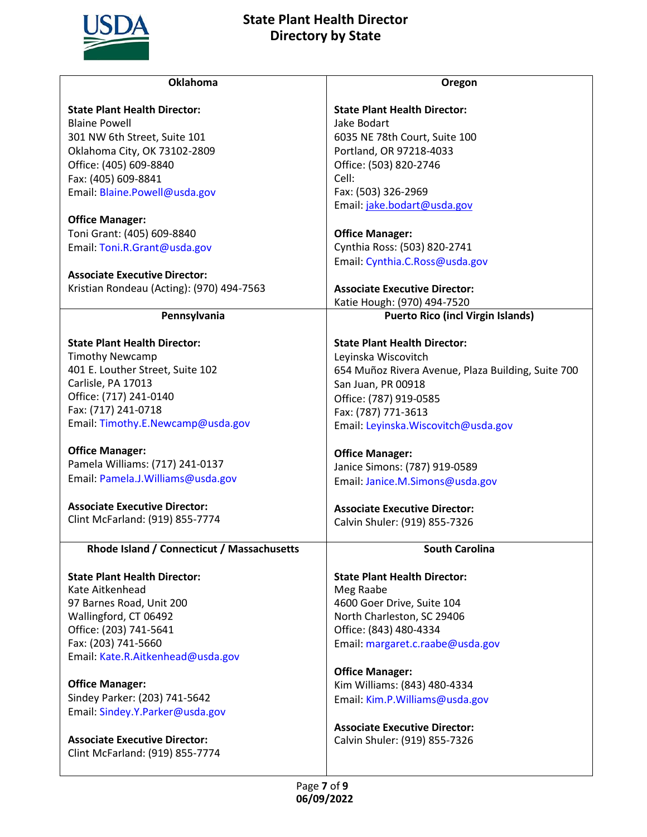

| <b>Oklahoma</b>                                        | Oregon                                             |
|--------------------------------------------------------|----------------------------------------------------|
|                                                        |                                                    |
| <b>State Plant Health Director:</b>                    | <b>State Plant Health Director:</b>                |
| <b>Blaine Powell</b>                                   | Jake Bodart                                        |
| 301 NW 6th Street, Suite 101                           | 6035 NE 78th Court, Suite 100                      |
| Oklahoma City, OK 73102-2809                           | Portland, OR 97218-4033                            |
| Office: (405) 609-8840                                 | Office: (503) 820-2746                             |
| Fax: (405) 609-8841                                    | Cell:                                              |
| Email: Blaine.Powell@usda.gov                          | Fax: (503) 326-2969                                |
|                                                        | Email: jake.bodart@usda.gov                        |
| <b>Office Manager:</b>                                 |                                                    |
| Toni Grant: (405) 609-8840                             | <b>Office Manager:</b>                             |
| Email: Toni.R.Grant@usda.gov                           | Cynthia Ross: (503) 820-2741                       |
| <b>Associate Executive Director:</b>                   | Email: Cynthia.C.Ross@usda.gov                     |
| Kristian Rondeau (Acting): (970) 494-7563              | <b>Associate Executive Director:</b>               |
|                                                        | Katie Hough: (970) 494-7520                        |
| Pennsylvania                                           | <b>Puerto Rico (incl Virgin Islands)</b>           |
|                                                        |                                                    |
| <b>State Plant Health Director:</b>                    | <b>State Plant Health Director:</b>                |
| <b>Timothy Newcamp</b>                                 | Leyinska Wiscovitch                                |
| 401 E. Louther Street, Suite 102                       | 654 Muñoz Rivera Avenue, Plaza Building, Suite 700 |
| Carlisle, PA 17013                                     | San Juan, PR 00918                                 |
| Office: (717) 241-0140                                 | Office: (787) 919-0585                             |
| Fax: (717) 241-0718                                    | Fax: (787) 771-3613                                |
| Email: Timothy.E.Newcamp@usda.gov                      | Email: Leyinska. Wiscovitch@usda.gov               |
|                                                        |                                                    |
| <b>Office Manager:</b>                                 | <b>Office Manager:</b>                             |
| Pamela Williams: (717) 241-0137                        | Janice Simons: (787) 919-0589                      |
| Email: Pamela.J.Williams@usda.gov                      | Email: Janice.M.Simons@usda.gov                    |
| <b>Associate Executive Director:</b>                   | <b>Associate Executive Director:</b>               |
| Clint McFarland: (919) 855-7774                        | Calvin Shuler: (919) 855-7326                      |
|                                                        |                                                    |
| Rhode Island / Connecticut / Massachusetts             | <b>South Carolina</b>                              |
|                                                        |                                                    |
| <b>State Plant Health Director:</b><br>Kate Aitkenhead | <b>State Plant Health Director:</b><br>Meg Raabe   |
| 97 Barnes Road, Unit 200                               | 4600 Goer Drive, Suite 104                         |
| Wallingford, CT 06492                                  | North Charleston, SC 29406                         |
| Office: (203) 741-5641                                 | Office: (843) 480-4334                             |
| Fax: (203) 741-5660                                    | Email: margaret.c.raabe@usda.gov                   |
| Email: Kate.R.Aitkenhead@usda.gov                      |                                                    |
|                                                        | <b>Office Manager:</b>                             |
| <b>Office Manager:</b>                                 | Kim Williams: (843) 480-4334                       |
| Sindey Parker: (203) 741-5642                          | Email: Kim.P.Williams@usda.gov                     |
| Email: Sindey.Y.Parker@usda.gov                        |                                                    |
|                                                        | <b>Associate Executive Director:</b>               |
| <b>Associate Executive Director:</b>                   | Calvin Shuler: (919) 855-7326                      |
| Clint McFarland: (919) 855-7774                        |                                                    |
|                                                        |                                                    |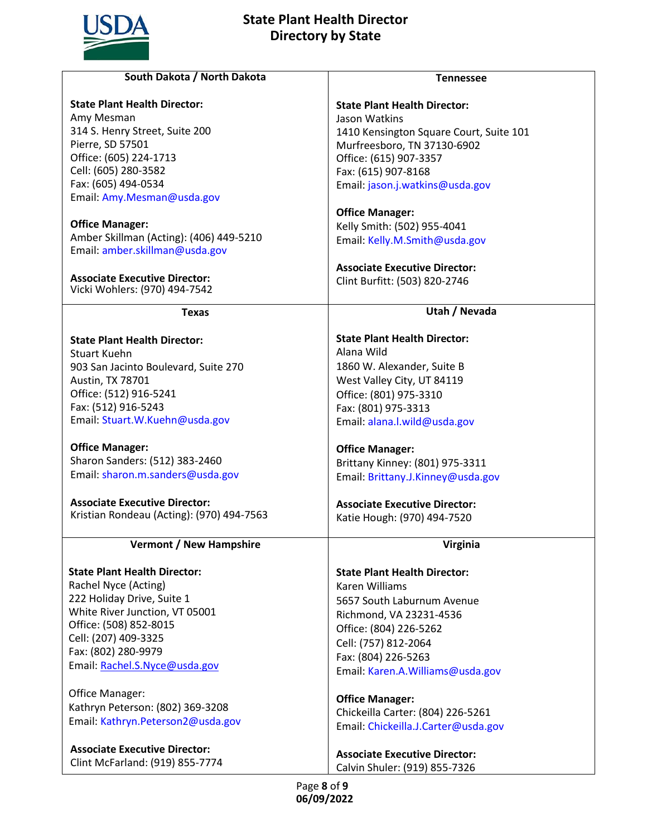

| South Dakota / North Dakota                | <b>Tennessee</b>                        |
|--------------------------------------------|-----------------------------------------|
|                                            |                                         |
| <b>State Plant Health Director:</b>        | <b>State Plant Health Director:</b>     |
| Amy Mesman                                 | Jason Watkins                           |
| 314 S. Henry Street, Suite 200             | 1410 Kensington Square Court, Suite 101 |
| Pierre, SD 57501<br>Office: (605) 224-1713 | Murfreesboro, TN 37130-6902             |
| Cell: (605) 280-3582                       | Office: (615) 907-3357                  |
| Fax: (605) 494-0534                        | Fax: (615) 907-8168                     |
| Email: Amy.Mesman@usda.gov                 | Email: jason.j.watkins@usda.gov         |
|                                            | <b>Office Manager:</b>                  |
| <b>Office Manager:</b>                     | Kelly Smith: (502) 955-4041             |
| Amber Skillman (Acting): (406) 449-5210    | Email: Kelly.M.Smith@usda.gov           |
| Email: amber.skillman@usda.gov             |                                         |
|                                            | <b>Associate Executive Director:</b>    |
| <b>Associate Executive Director:</b>       | Clint Burfitt: (503) 820-2746           |
| Vicki Wohlers: (970) 494-7542              |                                         |
| <b>Texas</b>                               | Utah / Nevada                           |
|                                            |                                         |
| <b>State Plant Health Director:</b>        | <b>State Plant Health Director:</b>     |
| <b>Stuart Kuehn</b>                        | Alana Wild                              |
| 903 San Jacinto Boulevard, Suite 270       | 1860 W. Alexander, Suite B              |
| Austin, TX 78701                           | West Valley City, UT 84119              |
| Office: (512) 916-5241                     | Office: (801) 975-3310                  |
| Fax: (512) 916-5243                        | Fax: (801) 975-3313                     |
| Email: Stuart.W.Kuehn@usda.gov             | Email: alana.l.wild@usda.gov            |
| <b>Office Manager:</b>                     | <b>Office Manager:</b>                  |
| Sharon Sanders: (512) 383-2460             | Brittany Kinney: (801) 975-3311         |
| Email: sharon.m.sanders@usda.gov           | Email: Brittany.J.Kinney@usda.gov       |
| <b>Associate Executive Director:</b>       | <b>Associate Executive Director:</b>    |
| Kristian Rondeau (Acting): (970) 494-7563  | Katie Hough: (970) 494-7520             |
|                                            |                                         |
| <b>Vermont / New Hampshire</b>             | <b>Virginia</b>                         |
| <b>State Plant Health Director:</b>        | <b>State Plant Health Director:</b>     |
| Rachel Nyce (Acting)                       | Karen Williams                          |
| 222 Holiday Drive, Suite 1                 | 5657 South Laburnum Avenue              |
| White River Junction, VT 05001             |                                         |
| Office: (508) 852-8015                     | Richmond, VA 23231-4536                 |
| Cell: (207) 409-3325                       | Office: (804) 226-5262                  |
| Fax: (802) 280-9979                        | Cell: (757) 812-2064                    |
| Email: Rachel.S.Nyce@usda.gov              | Fax: (804) 226-5263                     |
|                                            | Email: Karen.A.Williams@usda.gov        |
| Office Manager:                            | <b>Office Manager:</b>                  |
| Kathryn Peterson: (802) 369-3208           | Chickeilla Carter: (804) 226-5261       |
| Email: Kathryn.Peterson2@usda.gov          | Email: Chickeilla.J.Carter@usda.gov     |
| <b>Associate Executive Director:</b>       |                                         |
| Clint McFarland: (919) 855-7774            | <b>Associate Executive Director:</b>    |
|                                            | Calvin Shuler: (919) 855-7326           |
|                                            | Page 8 of 9                             |